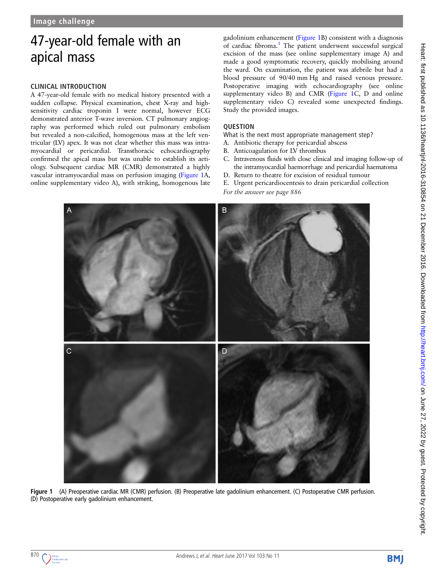# <span id="page-0-0"></span>47-year-old female with an apical mass

### **CLINICAL INTRODUCTION**

A 47-year-old female with no medical history presented with a sudden collapse. Physical examination, chest X-ray and highsensitivity cardiac troponin I were normal, however ECG demonstrated anterior T-wave inversion. CT pulmonary angiography was performed which ruled out pulmonary embolism but revealed a non-calcified, homogenous mass at the left ventricular (LV) apex. It was not clear whether this mass was intramyocardial or pericardial. Transthoracic echocardiography confirmed the apical mass but was unable to establish its aetiology. Subsequent cardiac MR (CMR) demonstrated a highly vascular intramyocardial mass on perfusion imaging (Figure 1A, online [supplementary video A](http://dx.doi.org/10.1136/heartjnl-2016-310854)), with striking, homogenous late

gadolinium enhancement (Figure 1B) consistent with a diagnosis of cardiac fibroma.<sup>[1](#page-1-0)</sup> The patient underwent successful surgical excision of the mass (see online [supplementary image A](http://dx.doi.org/10.1136/heartjnl-2016-310854)) and made a good symptomatic recovery, quickly mobilising around the ward. On examination, the patient was afebrile but had a blood pressure of 90/40 mm Hg and raised venous pressure. Postoperative imaging with echocardiography (see online [supplementary video B\)](http://dx.doi.org/10.1136/heartjnl-2016-310854) and CMR (Figure 1C, D and online [supplementary video C](http://dx.doi.org/10.1136/heartjnl-2016-310854)) revealed some unexpected findings. Study the provided images.

What is the next most appropriate management step?

- A. Antibiotic therapy for pericardial abscess
- B. Anticoagulation for LV thrombus
- C. Intravenous fluids with close clinical and imaging follow-up of the intramyocardial haemorrhage and pericardial haematoma
- D. Return to theatre for excision of residual tumour
- E. Urgent pericardiocentesis to drain pericardial collection
- *For the answer see page 886*



Fiqure 1 (A) Preoperative cardiac MR (CMR) perfusion. (B) Preoperative late gadolinium enhancement. (C) Postoperative CMR perfusion. (D) Postoperative early gadolinium enhancement.